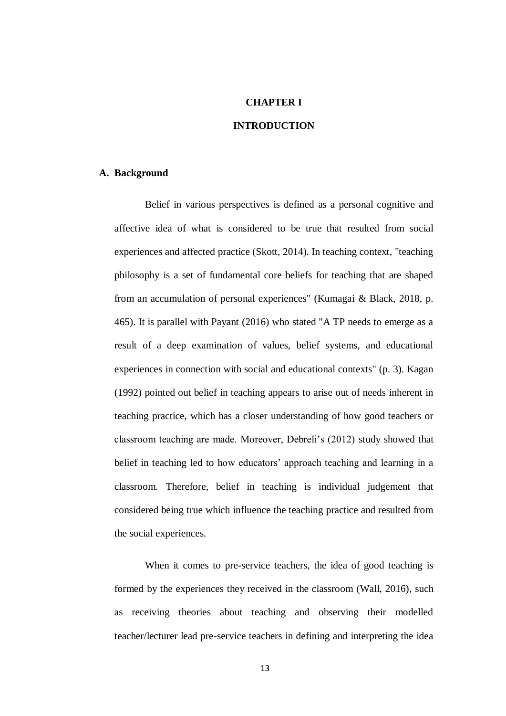### **CHAPTER I**

## **INTRODUCTION**

#### **A. Background**

Belief in various perspectives is defined as a personal cognitive and affective idea of what is considered to be true that resulted from social experiences and affected practice (Skott, 2014). In teaching context, "teaching philosophy is a set of fundamental core beliefs for teaching that are shaped from an accumulation of personal experiences" (Kumagai & Black, 2018, p. 465). It is parallel with Payant (2016) who stated "A TP needs to emerge as a result of a deep examination of values, belief systems, and educational experiences in connection with social and educational contexts" (p. 3). Kagan (1992) pointed out belief in teaching appears to arise out of needs inherent in teaching practice, which has a closer understanding of how good teachers or classroom teaching are made. Moreover, Debreli's (2012) study showed that belief in teaching led to how educators' approach teaching and learning in a classroom. Therefore, belief in teaching is individual judgement that considered being true which influence the teaching practice and resulted from the social experiences.

When it comes to pre-service teachers, the idea of good teaching is formed by the experiences they received in the classroom (Wall, 2016), such as receiving theories about teaching and observing their modelled teacher/lecturer lead pre-service teachers in defining and interpreting the idea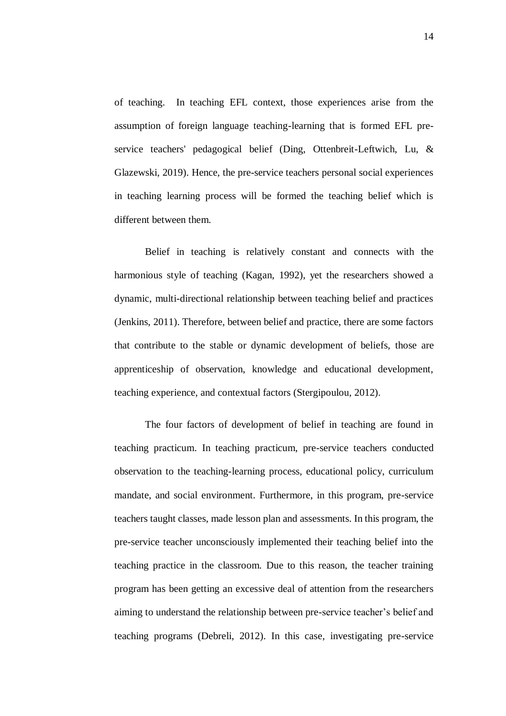of teaching. In teaching EFL context, those experiences arise from the assumption of foreign language teaching-learning that is formed EFL preservice teachers' pedagogical belief (Ding, Ottenbreit-Leftwich, Lu, & Glazewski, 2019). Hence, the pre-service teachers personal social experiences in teaching learning process will be formed the teaching belief which is different between them.

Belief in teaching is relatively constant and connects with the harmonious style of teaching (Kagan, 1992), yet the researchers showed a dynamic, multi-directional relationship between teaching belief and practices (Jenkins, 2011). Therefore, between belief and practice, there are some factors that contribute to the stable or dynamic development of beliefs, those are apprenticeship of observation, knowledge and educational development, teaching experience, and contextual factors (Stergipoulou, 2012).

The four factors of development of belief in teaching are found in teaching practicum. In teaching practicum, pre-service teachers conducted observation to the teaching-learning process, educational policy, curriculum mandate, and social environment. Furthermore, in this program, pre-service teachers taught classes, made lesson plan and assessments. In this program, the pre-service teacher unconsciously implemented their teaching belief into the teaching practice in the classroom. Due to this reason, the teacher training program has been getting an excessive deal of attention from the researchers aiming to understand the relationship between pre-service teacher's belief and teaching programs (Debreli, 2012). In this case, investigating pre-service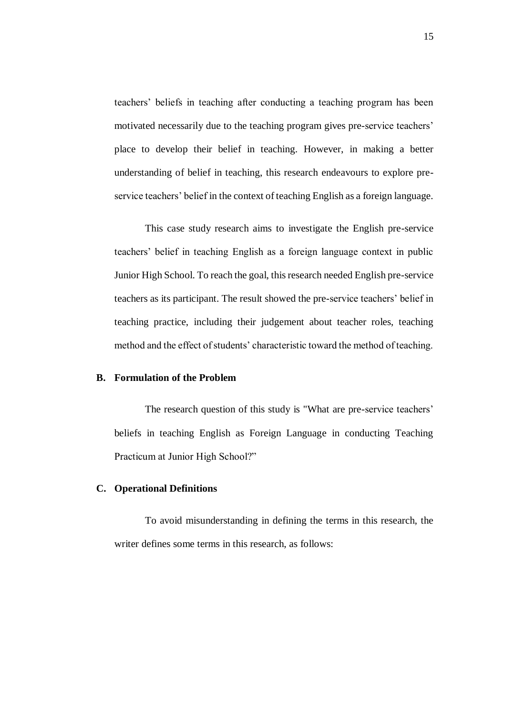teachers' beliefs in teaching after conducting a teaching program has been motivated necessarily due to the teaching program gives pre-service teachers' place to develop their belief in teaching. However, in making a better understanding of belief in teaching, this research endeavours to explore preservice teachers' belief in the context of teaching English as a foreign language.

This case study research aims to investigate the English pre-service teachers' belief in teaching English as a foreign language context in public Junior High School. To reach the goal, this research needed English pre-service teachers as its participant. The result showed the pre-service teachers' belief in teaching practice, including their judgement about teacher roles, teaching method and the effect of students' characteristic toward the method of teaching.

#### **B. Formulation of the Problem**

The research question of this study is "What are pre-service teachers' beliefs in teaching English as Foreign Language in conducting Teaching Practicum at Junior High School?"

## **C. Operational Definitions**

To avoid misunderstanding in defining the terms in this research, the writer defines some terms in this research, as follows: